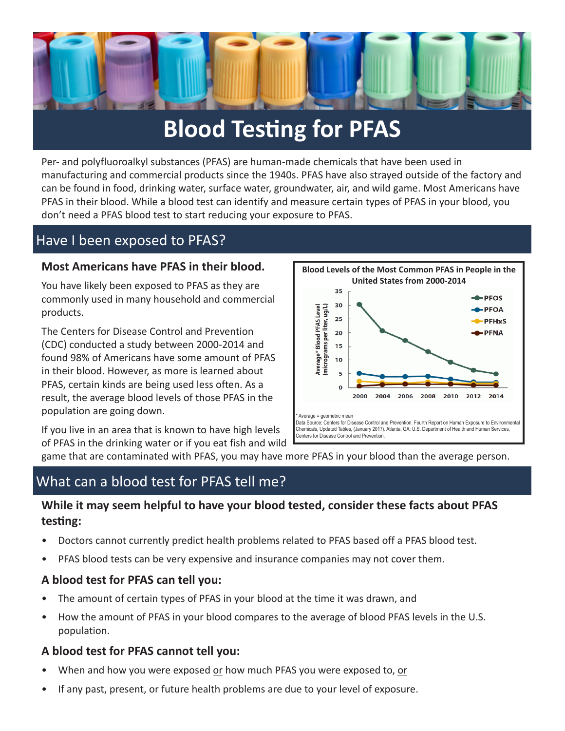

## **Blood Testing for PFAS**

Per- and polyfluoroalkyl substances (PFAS) are human-made chemicals that have been used in manufacturing and commercial products since the 1940s. PFAS have also strayed outside of the factory and can be found in food, drinking water, surface water, groundwater, air, and wild game. Most Americans have PFAS in their blood. While a blood test can identify and measure certain types of PFAS in your blood, you don't need a PFAS blood test to start reducing your exposure to PFAS.

## Have I been exposed to PFAS?

### **Most Americans have PFAS in their blood.**

You have likely been exposed to PFAS as they are commonly used in many household and commercial products.

The Centers for Disease Control and Prevention (CDC) conducted a study between 2000-2014 and found 98% of Americans have some amount of PFAS in their blood. However, as more is learned about PFAS, certain kinds are being used less often. As a result, the average blood levels of those PFAS in the population are going down.

If you live in an area that is known to have high levels of PFAS in the drinking water or if you eat fish and wild



game that are contaminated with PFAS, you may have more PFAS in your blood than the average person.

## What can a blood test for PFAS tell me?

## **While it may seem helpful to have your blood tested, consider these facts about PFAS testing:**

- Doctors cannot currently predict health problems related to PFAS based off a PFAS blood test.
- PFAS blood tests can be very expensive and insurance companies may not cover them.

#### **A blood test for PFAS can tell you:**

- The amount of certain types of PFAS in your blood at the time it was drawn, and
- How the amount of PFAS in your blood compares to the average of blood PFAS levels in the U.S. population.

#### **A blood test for PFAS cannot tell you:**

- When and how you were exposed or how much PFAS you were exposed to, or
- If any past, present, or future health problems are due to your level of exposure.